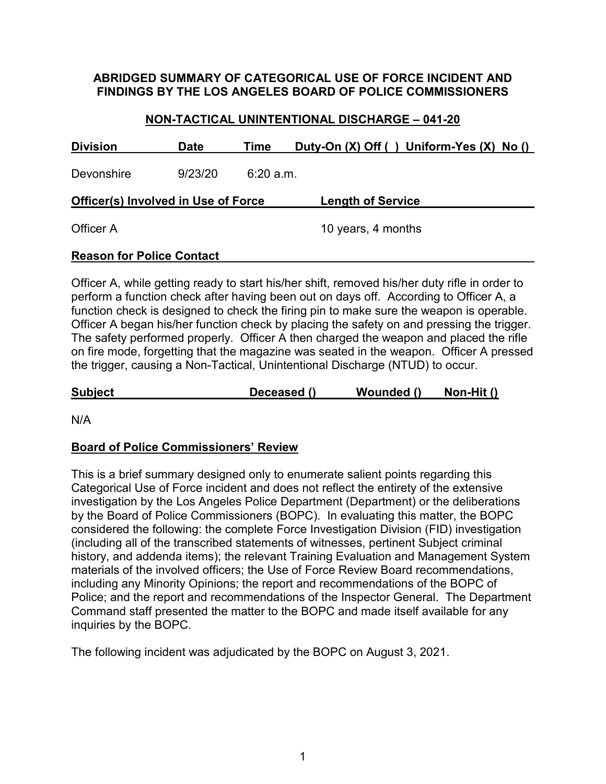### **ABRIDGED SUMMARY OF CATEGORICAL USE OF FORCE INCIDENT AND FINDINGS BY THE LOS ANGELES BOARD OF POLICE COMMISSIONERS**

### **NON-TACTICAL UNINTENTIONAL DISCHARGE – 041-20**

| <b>Division</b>                            | <b>Date</b> | Time     | Duty-On $(X)$ Off () Uniform-Yes $(X)$ No () |  |  |  |  |  |
|--------------------------------------------|-------------|----------|----------------------------------------------|--|--|--|--|--|
| Devonshire                                 | 9/23/20     | 6:20a.m. |                                              |  |  |  |  |  |
| <b>Officer(s) Involved in Use of Force</b> |             |          | <b>Length of Service</b>                     |  |  |  |  |  |
| Officer A                                  |             |          | 10 years, 4 months                           |  |  |  |  |  |
| <b>Reason for Police Contact</b>           |             |          |                                              |  |  |  |  |  |

Officer A, while getting ready to start his/her shift, removed his/her duty rifle in order to perform a function check after having been out on days off. According to Officer A, a function check is designed to check the firing pin to make sure the weapon is operable. Officer A began his/her function check by placing the safety on and pressing the trigger. The safety performed properly. Officer A then charged the weapon and placed the rifle on fire mode, forgetting that the magazine was seated in the weapon. Officer A pressed the trigger, causing a Non-Tactical, Unintentional Discharge (NTUD) to occur.

**Subject Deceased () Wounded () Non-Hit ()**

N/A

## **Board of Police Commissioners' Review**

This is a brief summary designed only to enumerate salient points regarding this Categorical Use of Force incident and does not reflect the entirety of the extensive investigation by the Los Angeles Police Department (Department) or the deliberations by the Board of Police Commissioners (BOPC). In evaluating this matter, the BOPC considered the following: the complete Force Investigation Division (FID) investigation (including all of the transcribed statements of witnesses, pertinent Subject criminal history, and addenda items); the relevant Training Evaluation and Management System materials of the involved officers; the Use of Force Review Board recommendations, including any Minority Opinions; the report and recommendations of the BOPC of Police; and the report and recommendations of the Inspector General. The Department Command staff presented the matter to the BOPC and made itself available for any inquiries by the BOPC.

The following incident was adjudicated by the BOPC on August 3, 2021.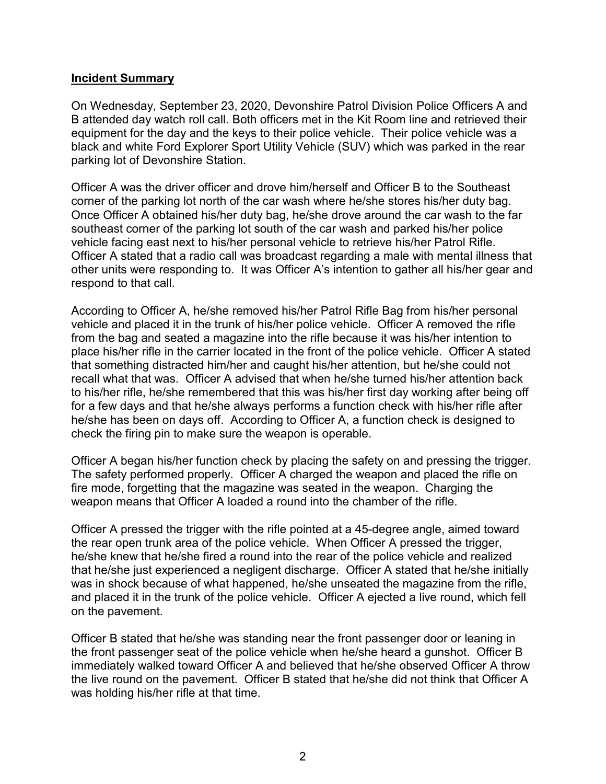#### **Incident Summary**

On Wednesday, September 23, 2020, Devonshire Patrol Division Police Officers A and B attended day watch roll call. Both officers met in the Kit Room line and retrieved their equipment for the day and the keys to their police vehicle. Their police vehicle was a black and white Ford Explorer Sport Utility Vehicle (SUV) which was parked in the rear parking lot of Devonshire Station.

Officer A was the driver officer and drove him/herself and Officer B to the Southeast corner of the parking lot north of the car wash where he/she stores his/her duty bag. Once Officer A obtained his/her duty bag, he/she drove around the car wash to the far southeast corner of the parking lot south of the car wash and parked his/her police vehicle facing east next to his/her personal vehicle to retrieve his/her Patrol Rifle. Officer A stated that a radio call was broadcast regarding a male with mental illness that other units were responding to. It was Officer A's intention to gather all his/her gear and respond to that call.

According to Officer A, he/she removed his/her Patrol Rifle Bag from his/her personal vehicle and placed it in the trunk of his/her police vehicle. Officer A removed the rifle from the bag and seated a magazine into the rifle because it was his/her intention to place his/her rifle in the carrier located in the front of the police vehicle. Officer A stated that something distracted him/her and caught his/her attention, but he/she could not recall what that was. Officer A advised that when he/she turned his/her attention back to his/her rifle, he/she remembered that this was his/her first day working after being off for a few days and that he/she always performs a function check with his/her rifle after he/she has been on days off. According to Officer A, a function check is designed to check the firing pin to make sure the weapon is operable.

Officer A began his/her function check by placing the safety on and pressing the trigger. The safety performed properly. Officer A charged the weapon and placed the rifle on fire mode, forgetting that the magazine was seated in the weapon. Charging the weapon means that Officer A loaded a round into the chamber of the rifle.

Officer A pressed the trigger with the rifle pointed at a 45-degree angle, aimed toward the rear open trunk area of the police vehicle. When Officer A pressed the trigger, he/she knew that he/she fired a round into the rear of the police vehicle and realized that he/she just experienced a negligent discharge. Officer A stated that he/she initially was in shock because of what happened, he/she unseated the magazine from the rifle, and placed it in the trunk of the police vehicle. Officer A ejected a live round, which fell on the pavement.

Officer B stated that he/she was standing near the front passenger door or leaning in the front passenger seat of the police vehicle when he/she heard a gunshot. Officer B immediately walked toward Officer A and believed that he/she observed Officer A throw the live round on the pavement. Officer B stated that he/she did not think that Officer A was holding his/her rifle at that time.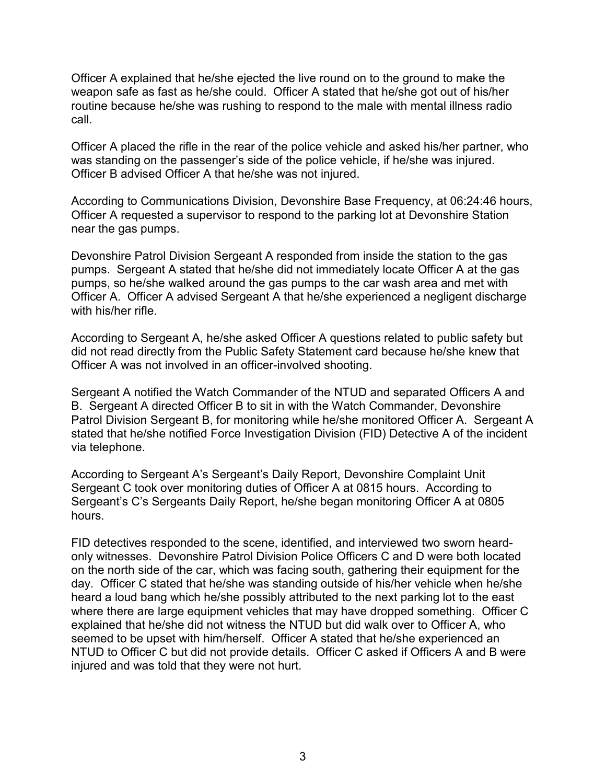Officer A explained that he/she ejected the live round on to the ground to make the weapon safe as fast as he/she could. Officer A stated that he/she got out of his/her routine because he/she was rushing to respond to the male with mental illness radio call.

Officer A placed the rifle in the rear of the police vehicle and asked his/her partner, who was standing on the passenger's side of the police vehicle, if he/she was injured. Officer B advised Officer A that he/she was not injured.

According to Communications Division, Devonshire Base Frequency, at 06:24:46 hours, Officer A requested a supervisor to respond to the parking lot at Devonshire Station near the gas pumps.

Devonshire Patrol Division Sergeant A responded from inside the station to the gas pumps. Sergeant A stated that he/she did not immediately locate Officer A at the gas pumps, so he/she walked around the gas pumps to the car wash area and met with Officer A. Officer A advised Sergeant A that he/she experienced a negligent discharge with his/her rifle.

According to Sergeant A, he/she asked Officer A questions related to public safety but did not read directly from the Public Safety Statement card because he/she knew that Officer A was not involved in an officer-involved shooting.

Sergeant A notified the Watch Commander of the NTUD and separated Officers A and B. Sergeant A directed Officer B to sit in with the Watch Commander, Devonshire Patrol Division Sergeant B, for monitoring while he/she monitored Officer A. Sergeant A stated that he/she notified Force Investigation Division (FID) Detective A of the incident via telephone.

According to Sergeant A's Sergeant's Daily Report, Devonshire Complaint Unit Sergeant C took over monitoring duties of Officer A at 0815 hours. According to Sergeant's C's Sergeants Daily Report, he/she began monitoring Officer A at 0805 hours.

FID detectives responded to the scene, identified, and interviewed two sworn heardonly witnesses. Devonshire Patrol Division Police Officers C and D were both located on the north side of the car, which was facing south, gathering their equipment for the day. Officer C stated that he/she was standing outside of his/her vehicle when he/she heard a loud bang which he/she possibly attributed to the next parking lot to the east where there are large equipment vehicles that may have dropped something. Officer C explained that he/she did not witness the NTUD but did walk over to Officer A, who seemed to be upset with him/herself. Officer A stated that he/she experienced an NTUD to Officer C but did not provide details. Officer C asked if Officers A and B were injured and was told that they were not hurt.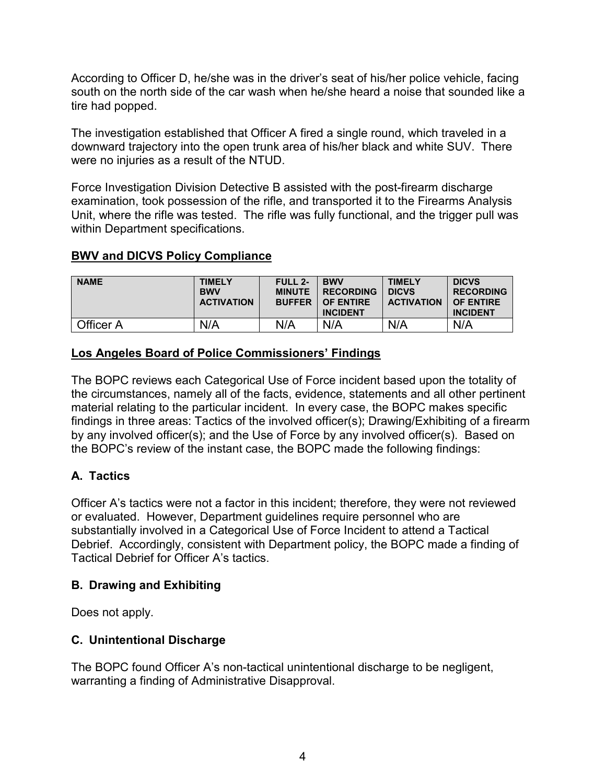According to Officer D, he/she was in the driver's seat of his/her police vehicle, facing south on the north side of the car wash when he/she heard a noise that sounded like a tire had popped.

The investigation established that Officer A fired a single round, which traveled in a downward trajectory into the open trunk area of his/her black and white SUV. There were no injuries as a result of the NTUD.

Force Investigation Division Detective B assisted with the post-firearm discharge examination, took possession of the rifle, and transported it to the Firearms Analysis Unit, where the rifle was tested. The rifle was fully functional, and the trigger pull was within Department specifications.

## **BWV and DICVS Policy Compliance**

| <b>NAME</b> | <b>TIMELY</b><br><b>BWV</b><br><b>ACTIVATION</b> | <b>FULL 2-</b><br><b>MINUTE</b><br><b>BUFFER</b> | <b>BWV</b><br><b>RECORDING</b><br><b>OF ENTIRE</b><br><b>INCIDENT</b> | <b>TIMELY</b><br><b>DICVS</b><br><b>ACTIVATION</b> | <b>DICVS</b><br><b>RECORDING</b><br>OF ENTIRE<br><b>INCIDENT</b> |
|-------------|--------------------------------------------------|--------------------------------------------------|-----------------------------------------------------------------------|----------------------------------------------------|------------------------------------------------------------------|
| Officer A   | N/A                                              | N/A                                              | N/A                                                                   | N/A                                                | N/A                                                              |

### **Los Angeles Board of Police Commissioners' Findings**

The BOPC reviews each Categorical Use of Force incident based upon the totality of the circumstances, namely all of the facts, evidence, statements and all other pertinent material relating to the particular incident. In every case, the BOPC makes specific findings in three areas: Tactics of the involved officer(s); Drawing/Exhibiting of a firearm by any involved officer(s); and the Use of Force by any involved officer(s). Based on the BOPC's review of the instant case, the BOPC made the following findings:

## **A. Tactics**

Officer A's tactics were not a factor in this incident; therefore, they were not reviewed or evaluated. However, Department guidelines require personnel who are substantially involved in a Categorical Use of Force Incident to attend a Tactical Debrief. Accordingly, consistent with Department policy, the BOPC made a finding of Tactical Debrief for Officer A's tactics.

#### **B. Drawing and Exhibiting**

Does not apply.

## **C. Unintentional Discharge**

The BOPC found Officer A's non-tactical unintentional discharge to be negligent, warranting a finding of Administrative Disapproval.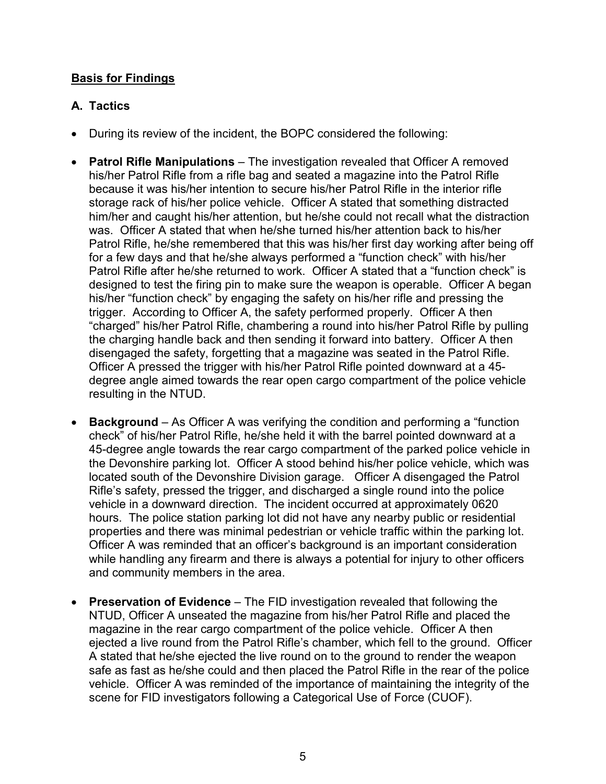## **Basis for Findings**

# **A. Tactics**

- During its review of the incident, the BOPC considered the following:
- **Patrol Rifle Manipulations**  The investigation revealed that Officer A removed his/her Patrol Rifle from a rifle bag and seated a magazine into the Patrol Rifle because it was his/her intention to secure his/her Patrol Rifle in the interior rifle storage rack of his/her police vehicle. Officer A stated that something distracted him/her and caught his/her attention, but he/she could not recall what the distraction was. Officer A stated that when he/she turned his/her attention back to his/her Patrol Rifle, he/she remembered that this was his/her first day working after being off for a few days and that he/she always performed a "function check" with his/her Patrol Rifle after he/she returned to work. Officer A stated that a "function check" is designed to test the firing pin to make sure the weapon is operable. Officer A began his/her "function check" by engaging the safety on his/her rifle and pressing the trigger. According to Officer A, the safety performed properly. Officer A then "charged" his/her Patrol Rifle, chambering a round into his/her Patrol Rifle by pulling the charging handle back and then sending it forward into battery. Officer A then disengaged the safety, forgetting that a magazine was seated in the Patrol Rifle. Officer A pressed the trigger with his/her Patrol Rifle pointed downward at a 45 degree angle aimed towards the rear open cargo compartment of the police vehicle resulting in the NTUD.
- **Background**  As Officer A was verifying the condition and performing a "function check" of his/her Patrol Rifle, he/she held it with the barrel pointed downward at a 45-degree angle towards the rear cargo compartment of the parked police vehicle in the Devonshire parking lot. Officer A stood behind his/her police vehicle, which was located south of the Devonshire Division garage. Officer A disengaged the Patrol Rifle's safety, pressed the trigger, and discharged a single round into the police vehicle in a downward direction. The incident occurred at approximately 0620 hours. The police station parking lot did not have any nearby public or residential properties and there was minimal pedestrian or vehicle traffic within the parking lot. Officer A was reminded that an officer's background is an important consideration while handling any firearm and there is always a potential for injury to other officers and community members in the area.
- **Preservation of Evidence**  The FID investigation revealed that following the NTUD, Officer A unseated the magazine from his/her Patrol Rifle and placed the magazine in the rear cargo compartment of the police vehicle. Officer A then ejected a live round from the Patrol Rifle's chamber, which fell to the ground. Officer A stated that he/she ejected the live round on to the ground to render the weapon safe as fast as he/she could and then placed the Patrol Rifle in the rear of the police vehicle. Officer A was reminded of the importance of maintaining the integrity of the scene for FID investigators following a Categorical Use of Force (CUOF).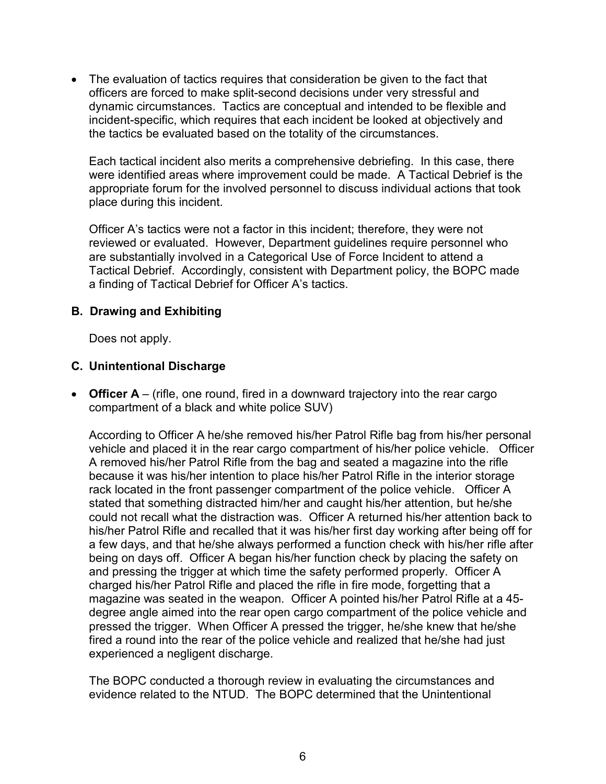• The evaluation of tactics requires that consideration be given to the fact that officers are forced to make split-second decisions under very stressful and dynamic circumstances. Tactics are conceptual and intended to be flexible and incident-specific, which requires that each incident be looked at objectively and the tactics be evaluated based on the totality of the circumstances.

Each tactical incident also merits a comprehensive debriefing. In this case, there were identified areas where improvement could be made. A Tactical Debrief is the appropriate forum for the involved personnel to discuss individual actions that took place during this incident.

Officer A's tactics were not a factor in this incident; therefore, they were not reviewed or evaluated. However, Department guidelines require personnel who are substantially involved in a Categorical Use of Force Incident to attend a Tactical Debrief. Accordingly, consistent with Department policy, the BOPC made a finding of Tactical Debrief for Officer A's tactics.

### **B. Drawing and Exhibiting**

Does not apply.

### **C. Unintentional Discharge**

• **Officer A** – (rifle, one round, fired in a downward trajectory into the rear cargo compartment of a black and white police SUV)

According to Officer A he/she removed his/her Patrol Rifle bag from his/her personal vehicle and placed it in the rear cargo compartment of his/her police vehicle. Officer A removed his/her Patrol Rifle from the bag and seated a magazine into the rifle because it was his/her intention to place his/her Patrol Rifle in the interior storage rack located in the front passenger compartment of the police vehicle. Officer A stated that something distracted him/her and caught his/her attention, but he/she could not recall what the distraction was. Officer A returned his/her attention back to his/her Patrol Rifle and recalled that it was his/her first day working after being off for a few days, and that he/she always performed a function check with his/her rifle after being on days off. Officer A began his/her function check by placing the safety on and pressing the trigger at which time the safety performed properly. Officer A charged his/her Patrol Rifle and placed the rifle in fire mode, forgetting that a magazine was seated in the weapon. Officer A pointed his/her Patrol Rifle at a 45 degree angle aimed into the rear open cargo compartment of the police vehicle and pressed the trigger. When Officer A pressed the trigger, he/she knew that he/she fired a round into the rear of the police vehicle and realized that he/she had just experienced a negligent discharge.

The BOPC conducted a thorough review in evaluating the circumstances and evidence related to the NTUD. The BOPC determined that the Unintentional